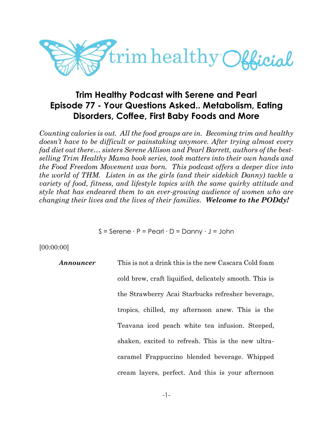

# **Trim Healthy Podcast with Serene and Pearl Episode 77 - Your Questions Asked.. Metabolism, Eating Disorders, Coffee, First Baby Foods and More**

*Counting calories is out. All the food groups are in. Becoming trim and healthy doesn't have to be difficult or painstaking anymore. After trying almost every fad diet out there… sisters Serene Allison and Pearl Barrett, authors of the bestselling Trim Healthy Mama book series, took matters into their own hands and the Food Freedom Movement was born. This podcast offers a deeper dive into the world of THM. Listen in as the girls (and their sidekick Danny) tackle a variety of food, fitness, and lifestyle topics with the same quirky attitude and style that has endeared them to an ever-growing audience of women who are changing their lives and the lives of their families. Welcome to the PODdy!*

S = Serene ∙ P = Pearl ∙ D = Danny ∙ J = John

[00:00:00]

| Announcer | This is not a drink this is the new Cascara Cold foam  |
|-----------|--------------------------------------------------------|
|           | cold brew, craft liquified, delicately smooth. This is |
|           | the Strawberry Acai Starbucks refresher beverage,      |
|           | tropics, chilled, my afternoon anew. This is the       |
|           | Teavana iced peach white tea infusion. Steeped,        |
|           | shaken, excited to refresh. This is the new ultra-     |
|           | caramel Frappuccino blended beverage. Whipped          |
|           | cream layers, perfect. And this is your afternoon      |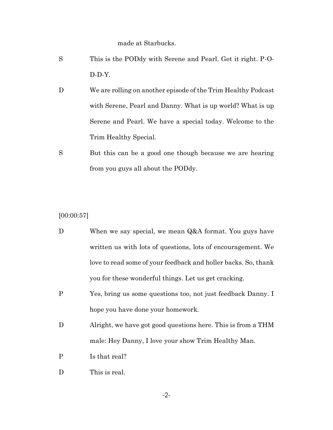made at Starbucks.

- S This is the PODdy with Serene and Pearl. Get it right. P-O-D-D-Y.
- D We are rolling on another episode of the Trim Healthy Podcast with Serene, Pearl and Danny. What is up world? What is up Serene and Pearl. We have a special today. Welcome to the Trim Healthy Special.
- S But this can be a good one though because we are hearing from you guys all about the PODdy.

[00:00:57]

- D When we say special, we mean Q&A format. You guys have written us with lots of questions, lots of encouragement. We love to read some of your feedback and holler backs. So, thank you for these wonderful things. Let us get cracking.
- P Yes, bring us some questions too, not just feedback Danny. I hope you have done your homework.
- D Alright, we have got good questions here. This is from a THM male: Hey Danny, I love your show Trim Healthy Man.
- P Is that real?
- D This is real.

-2-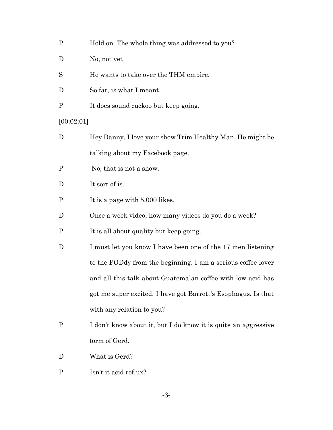| $\mathbf{P}$ | Hold on. The whole thing was addressed to you? |
|--------------|------------------------------------------------|
|--------------|------------------------------------------------|

- D No, not yet
- S He wants to take over the THM empire.
- D So far, is what I meant.
- P It does sound cuckoo but keep going.

[00:02:01]

- D Hey Danny, I love your show Trim Healthy Man. He might be talking about my Facebook page.
- P No, that is not a show.
- D It sort of is.
- P It is a page with 5,000 likes.
- D Once a week video, how many videos do you do a week?
- P It is all about quality but keep going.
- D I must let you know I have been one of the 17 men listening to the PODdy from the beginning. I am a serious coffee lover and all this talk about Guatemalan coffee with low acid has got me super excited. I have got Barrett's Esophagus. Is that with any relation to you?
- P I don't know about it, but I do know it is quite an aggressive form of Gerd.
- D What is Gerd?
- P Isn't it acid reflux?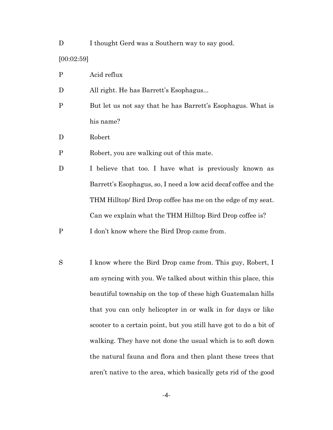D I thought Gerd was a Southern way to say good. [00:02:59]

P Acid reflux

D All right. He has Barrett's Esophagus...

- P But let us not say that he has Barrett's Esophagus. What is his name?
- D Robert
- P Robert, you are walking out of this mate.
- D I believe that too. I have what is previously known as Barrett's Esophagus, so, I need a low acid decaf coffee and the THM Hilltop/ Bird Drop coffee has me on the edge of my seat. Can we explain what the THM Hilltop Bird Drop coffee is?
- P I don't know where the Bird Drop came from.
- S I know where the Bird Drop came from. This guy, Robert, I am syncing with you. We talked about within this place, this beautiful township on the top of these high Guatemalan hills that you can only helicopter in or walk in for days or like scooter to a certain point, but you still have got to do a bit of walking. They have not done the usual which is to soft down the natural fauna and flora and then plant these trees that aren't native to the area, which basically gets rid of the good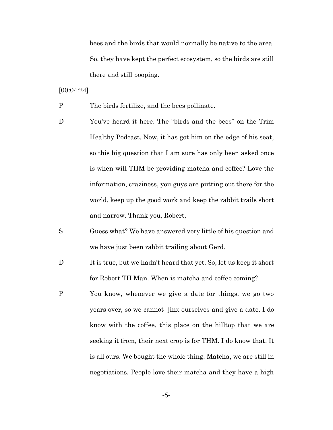bees and the birds that would normally be native to the area. So, they have kept the perfect ecosystem, so the birds are still there and still pooping.

[00:04:24]

- P The birds fertilize, and the bees pollinate.
- D You've heard it here. The "birds and the bees" on the Trim Healthy Podcast. Now, it has got him on the edge of his seat, so this big question that I am sure has only been asked once is when will THM be providing matcha and coffee? Love the information, craziness, you guys are putting out there for the world, keep up the good work and keep the rabbit trails short and narrow. Thank you, Robert,
- S Guess what? We have answered very little of his question and we have just been rabbit trailing about Gerd.
- D It is true, but we hadn't heard that yet. So, let us keep it short for Robert TH Man. When is matcha and coffee coming?
- P You know, whenever we give a date for things, we go two years over, so we cannot jinx ourselves and give a date. I do know with the coffee, this place on the hilltop that we are seeking it from, their next crop is for THM. I do know that. It is all ours. We bought the whole thing. Matcha, we are still in negotiations. People love their matcha and they have a high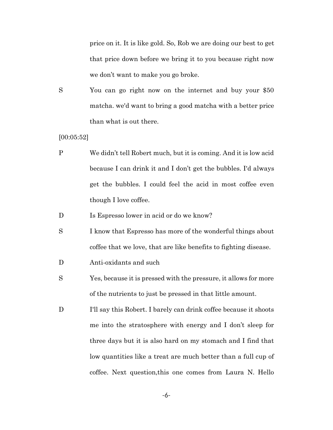price on it. It is like gold. So, Rob we are doing our best to get that price down before we bring it to you because right now we don't want to make you go broke.

S You can go right now on the internet and buy your \$50 matcha. we'd want to bring a good matcha with a better price than what is out there.

[00:05:52]

- P We didn't tell Robert much, but it is coming. And it is low acid because I can drink it and I don't get the bubbles. I'd always get the bubbles. I could feel the acid in most coffee even though I love coffee.
- D Is Espresso lower in acid or do we know?
- S I know that Espresso has more of the wonderful things about coffee that we love, that are like benefits to fighting disease.
- D Anti-oxidants and such
- S Yes, because it is pressed with the pressure, it allows for more of the nutrients to just be pressed in that little amount.
- D I'll say this Robert. I barely can drink coffee because it shoots me into the stratosphere with energy and I don't sleep for three days but it is also hard on my stomach and I find that low quantities like a treat are much better than a full cup of coffee. Next question,this one comes from Laura N. Hello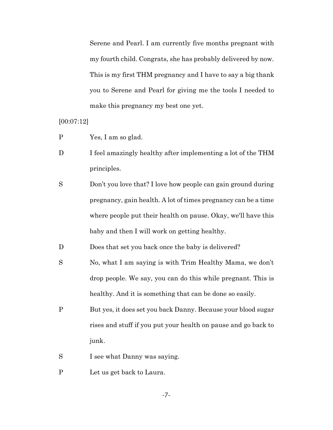Serene and Pearl. I am currently five months pregnant with my fourth child. Congrats, she has probably delivered by now. This is my first THM pregnancy and I have to say a big thank you to Serene and Pearl for giving me the tools I needed to make this pregnancy my best one yet.

[00:07:12]

- P Yes, I am so glad.
- D I feel amazingly healthy after implementing a lot of the THM principles.
- S Don't you love that? I love how people can gain ground during pregnancy, gain health. A lot of times pregnancy can be a time where people put their health on pause. Okay, we'll have this baby and then I will work on getting healthy.

D Does that set you back once the baby is delivered?

- S No, what I am saying is with Trim Healthy Mama, we don't drop people. We say, you can do this while pregnant. This is healthy. And it is something that can be done so easily.
- P But yes, it does set you back Danny. Because your blood sugar rises and stuff if you put your health on pause and go back to junk.
- S I see what Danny was saying.
- P Let us get back to Laura.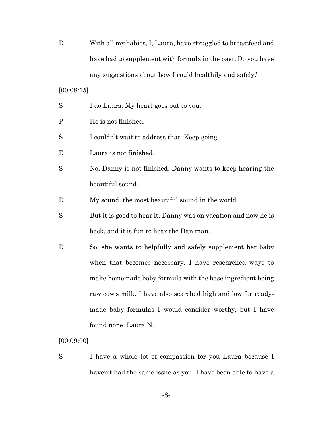D With all my babies, I, Laura, have struggled to breastfeed and have had to supplement with formula in the past. Do you have any suggestions about how I could healthily and safely?

[00:08:15]

|  | S | I do Laura. My heart goes out to you. |  |
|--|---|---------------------------------------|--|
|--|---|---------------------------------------|--|

- P He is not finished.
- S I couldn't wait to address that. Keep going.
- D Laura is not finished.
- S No, Danny is not finished. Danny wants to keep hearing the beautiful sound.
- D My sound, the most beautiful sound in the world.
- S But it is good to hear it. Danny was on vacation and now he is back, and it is fun to hear the Dan man.
- D So, she wants to helpfully and safely supplement her baby when that becomes necessary. I have researched ways to make homemade baby formula with the base ingredient being raw cow's milk. I have also searched high and low for readymade baby formulas I would consider worthy, but I have found none. Laura N.

[00:09:00]

S I have a whole lot of compassion for you Laura because I haven't had the same issue as you. I have been able to have a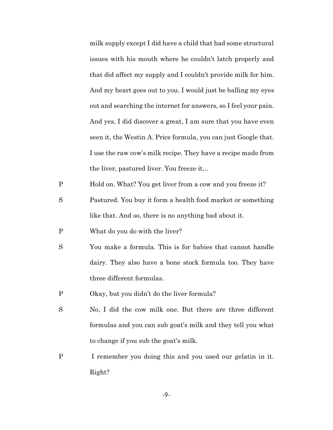milk supply except I did have a child that had some structural issues with his mouth where he couldn't latch properly and that did affect my supply and I couldn't provide milk for him. And my heart goes out to you. I would just be balling my eyes out and searching the internet for answers, so I feel your pain. And yes, I did discover a great, I am sure that you have even seen it, the Westin A. Price formula, you can just Google that. I use the raw cow's milk recipe. They have a recipe made from the liver, pastured liver. You freeze it...

P Hold on. What? You get liver from a cow and you freeze it?

- S Pastured. You buy it form a health food market or something like that. And so, there is no anything bad about it.
- P What do you do with the liver?
- S You make a formula. This is for babies that cannot handle dairy. They also have a bone stock formula too. They have three different formulas.
- P Okay, but you didn't do the liver formula?
- S No, I did the cow milk one. But there are three different formulas and you can sub goat's milk and they tell you what to change if you sub the goat's milk.
- P I remember you doing this and you used our gelatin in it. Right?

-9-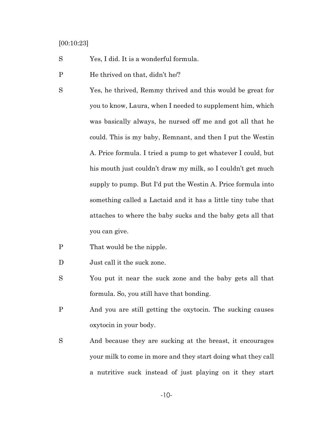## [00:10:23]

- S Yes, I did. It is a wonderful formula.
- P He thrived on that, didn't he/?
- S Yes, he thrived, Remmy thrived and this would be great for you to know, Laura, when I needed to supplement him, which was basically always, he nursed off me and got all that he could. This is my baby, Remnant, and then I put the Westin A. Price formula. I tried a pump to get whatever I could, but his mouth just couldn't draw my milk, so I couldn't get much supply to pump. But I'd put the Westin A. Price formula into something called a Lactaid and it has a little tiny tube that attaches to where the baby sucks and the baby gets all that you can give.
- P That would be the nipple.
- D Just call it the suck zone.
- S You put it near the suck zone and the baby gets all that formula. So, you still have that bonding.
- P And you are still getting the oxytocin. The sucking causes oxytocin in your body.
- S And because they are sucking at the breast, it encourages your milk to come in more and they start doing what they call a nutritive suck instead of just playing on it they start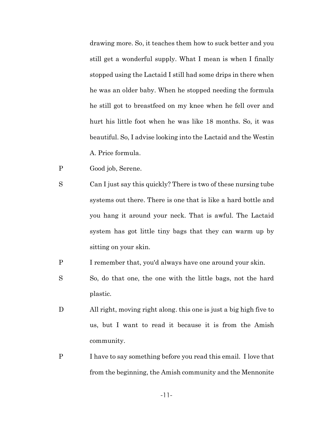drawing more. So, it teaches them how to suck better and you still get a wonderful supply. What I mean is when I finally stopped using the Lactaid I still had some drips in there when he was an older baby. When he stopped needing the formula he still got to breastfeed on my knee when he fell over and hurt his little foot when he was like 18 months. So, it was beautiful. So, I advise looking into the Lactaid and the Westin A. Price formula.

- P Good job, Serene.
- S Can I just say this quickly? There is two of these nursing tube systems out there. There is one that is like a hard bottle and you hang it around your neck. That is awful. The Lactaid system has got little tiny bags that they can warm up by sitting on your skin.
- P I remember that, you'd always have one around your skin.
- S So, do that one, the one with the little bags, not the hard plastic.
- D All right, moving right along. this one is just a big high five to us, but I want to read it because it is from the Amish community.
- P I have to say something before you read this email. I love that from the beginning, the Amish community and the Mennonite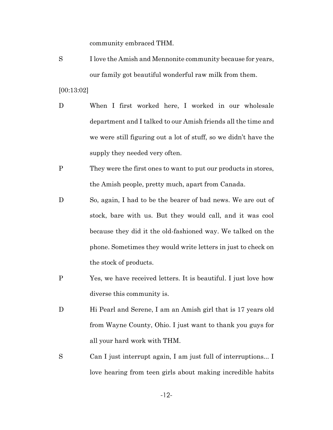community embraced THM.

S I love the Amish and Mennonite community because for years, our family got beautiful wonderful raw milk from them.

[00:13:02]

- D When I first worked here, I worked in our wholesale department and I talked to our Amish friends all the time and we were still figuring out a lot of stuff, so we didn't have the supply they needed very often.
- P They were the first ones to want to put our products in stores, the Amish people, pretty much, apart from Canada.
- D So, again, I had to be the bearer of bad news. We are out of stock, bare with us. But they would call, and it was cool because they did it the old-fashioned way. We talked on the phone. Sometimes they would write letters in just to check on the stock of products.
- P Yes, we have received letters. It is beautiful. I just love how diverse this community is.
- D Hi Pearl and Serene, I am an Amish girl that is 17 years old from Wayne County, Ohio. I just want to thank you guys for all your hard work with THM.
- S Can I just interrupt again, I am just full of interruptions... I love hearing from teen girls about making incredible habits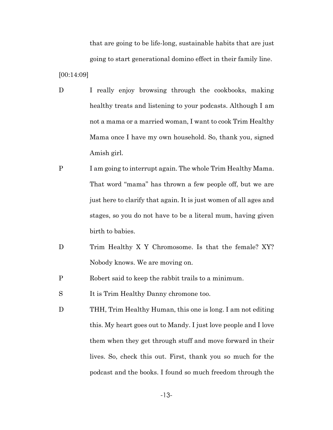that are going to be life-long, sustainable habits that are just going to start generational domino effect in their family line.

[00:14:09]

- D I really enjoy browsing through the cookbooks, making healthy treats and listening to your podcasts. Although I am not a mama or a married woman, I want to cook Trim Healthy Mama once I have my own household. So, thank you, signed Amish girl.
- P I am going to interrupt again. The whole Trim Healthy Mama. That word "mama" has thrown a few people off, but we are just here to clarify that again. It is just women of all ages and stages, so you do not have to be a literal mum, having given birth to babies.
- D Trim Healthy X Y Chromosome. Is that the female? XY? Nobody knows. We are moving on.
- P Robert said to keep the rabbit trails to a minimum.
- S It is Trim Healthy Danny chromone too.
- D THH, Trim Healthy Human, this one is long. I am not editing this. My heart goes out to Mandy. I just love people and I love them when they get through stuff and move forward in their lives. So, check this out. First, thank you so much for the podcast and the books. I found so much freedom through the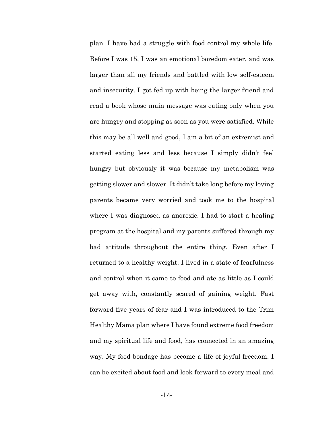plan. I have had a struggle with food control my whole life. Before I was 15, I was an emotional boredom eater, and was larger than all my friends and battled with low self-esteem and insecurity. I got fed up with being the larger friend and read a book whose main message was eating only when you are hungry and stopping as soon as you were satisfied. While this may be all well and good, I am a bit of an extremist and started eating less and less because I simply didn't feel hungry but obviously it was because my metabolism was getting slower and slower. It didn't take long before my loving parents became very worried and took me to the hospital where I was diagnosed as anorexic. I had to start a healing program at the hospital and my parents suffered through my bad attitude throughout the entire thing. Even after I returned to a healthy weight. I lived in a state of fearfulness and control when it came to food and ate as little as I could get away with, constantly scared of gaining weight. Fast forward five years of fear and I was introduced to the Trim Healthy Mama plan where I have found extreme food freedom and my spiritual life and food, has connected in an amazing way. My food bondage has become a life of joyful freedom. I can be excited about food and look forward to every meal and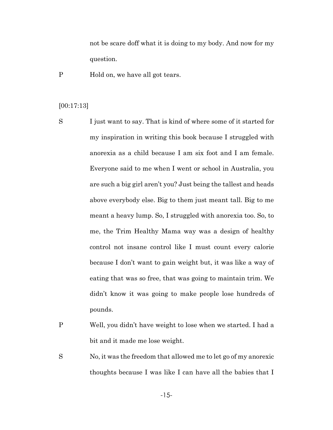not be scare doff what it is doing to my body. And now for my question.

P Hold on, we have all got tears.

# [00:17:13]

- S I just want to say. That is kind of where some of it started for my inspiration in writing this book because I struggled with anorexia as a child because I am six foot and I am female. Everyone said to me when I went or school in Australia, you are such a big girl aren't you? Just being the tallest and heads above everybody else. Big to them just meant tall. Big to me meant a heavy lump. So, I struggled with anorexia too. So, to me, the Trim Healthy Mama way was a design of healthy control not insane control like I must count every calorie because I don't want to gain weight but, it was like a way of eating that was so free, that was going to maintain trim. We didn't know it was going to make people lose hundreds of pounds.
- P Well, you didn't have weight to lose when we started. I had a bit and it made me lose weight.
- S No, it was the freedom that allowed me to let go of my anorexic thoughts because I was like I can have all the babies that I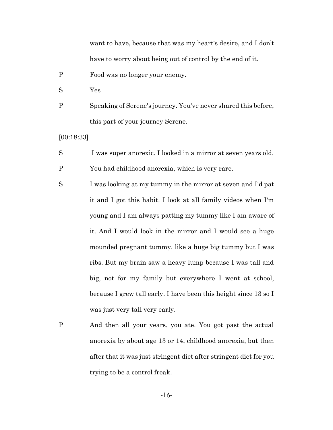want to have, because that was my heart's desire, and I don't have to worry about being out of control by the end of it.

- P Food was no longer your enemy.
- S Yes
- P Speaking of Serene's journey. You've never shared this before, this part of your journey Serene.

[00:18:33]

- S I was super anorexic. I looked in a mirror at seven years old.
- P You had childhood anorexia, which is very rare.
- S I was looking at my tummy in the mirror at seven and I'd pat it and I got this habit. I look at all family videos when I'm young and I am always patting my tummy like I am aware of it. And I would look in the mirror and I would see a huge mounded pregnant tummy, like a huge big tummy but I was ribs. But my brain saw a heavy lump because I was tall and big, not for my family but everywhere I went at school, because I grew tall early. I have been this height since 13 so I was just very tall very early.
- P And then all your years, you ate. You got past the actual anorexia by about age 13 or 14, childhood anorexia, but then after that it was just stringent diet after stringent diet for you trying to be a control freak.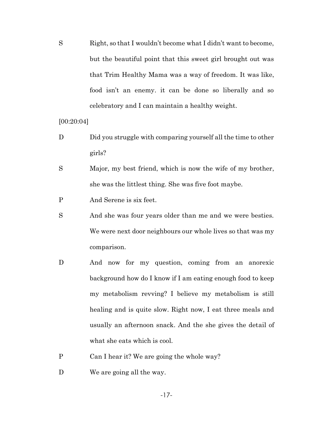S Right, so that I wouldn't become what I didn't want to become, but the beautiful point that this sweet girl brought out was that Trim Healthy Mama was a way of freedom. It was like, food isn't an enemy. it can be done so liberally and so celebratory and I can maintain a healthy weight.

[00:20:04]

- D Did you struggle with comparing yourself all the time to other girls?
- S Major, my best friend, which is now the wife of my brother, she was the littlest thing. She was five foot maybe.
- P And Serene is six feet.
- S And she was four years older than me and we were besties. We were next door neighbours our whole lives so that was my comparison.
- D And now for my question, coming from an anorexic background how do I know if I am eating enough food to keep my metabolism revving? I believe my metabolism is still healing and is quite slow. Right now, I eat three meals and usually an afternoon snack. And the she gives the detail of what she eats which is cool.
- P Can I hear it? We are going the whole way?
- D We are going all the way.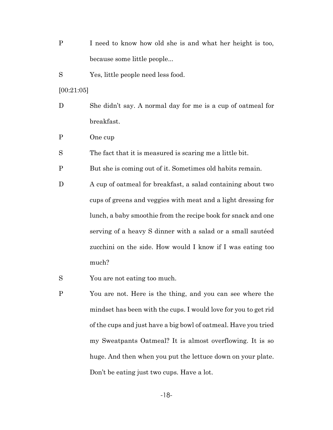P I need to know how old she is and what her height is too, because some little people...

S Yes, little people need less food.

[00:21:05]

- D She didn't say. A normal day for me is a cup of oatmeal for breakfast.
- P One cup

S The fact that it is measured is scaring me a little bit.

P But she is coming out of it. Sometimes old habits remain.

D A cup of oatmeal for breakfast, a salad containing about two cups of greens and veggies with meat and a light dressing for lunch, a baby smoothie from the recipe book for snack and one serving of a heavy S dinner with a salad or a small sautéed zucchini on the side. How would I know if I was eating too much?

S You are not eating too much.

P You are not. Here is the thing, and you can see where the mindset has been with the cups. I would love for you to get rid of the cups and just have a big bowl of oatmeal. Have you tried my Sweatpants Oatmeal? It is almost overflowing. It is so huge. And then when you put the lettuce down on your plate. Don't be eating just two cups. Have a lot.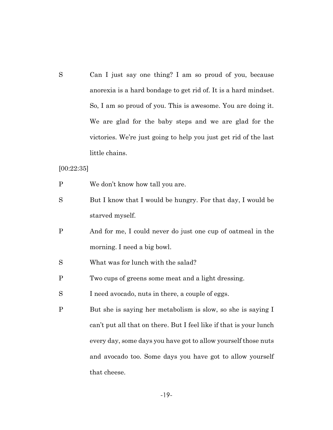S Can I just say one thing? I am so proud of you, because anorexia is a hard bondage to get rid of. It is a hard mindset. So, I am so proud of you. This is awesome. You are doing it. We are glad for the baby steps and we are glad for the victories. We're just going to help you just get rid of the last little chains.

[00:22:35]

- P We don't know how tall you are.
- S But I know that I would be hungry. For that day, I would be starved myself.
- P And for me, I could never do just one cup of oatmeal in the morning. I need a big bowl.
- S What was for lunch with the salad?
- P Two cups of greens some meat and a light dressing.
- S I need avocado, nuts in there, a couple of eggs.
- P But she is saying her metabolism is slow, so she is saying I can't put all that on there. But I feel like if that is your lunch every day, some days you have got to allow yourself those nuts and avocado too. Some days you have got to allow yourself that cheese.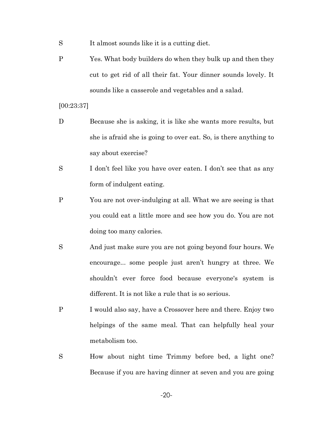- S It almost sounds like it is a cutting diet.
- P Yes. What body builders do when they bulk up and then they cut to get rid of all their fat. Your dinner sounds lovely. It sounds like a casserole and vegetables and a salad.

[00:23:37]

- D Because she is asking, it is like she wants more results, but she is afraid she is going to over eat. So, is there anything to say about exercise?
- S I don't feel like you have over eaten. I don't see that as any form of indulgent eating.
- P You are not over-indulging at all. What we are seeing is that you could eat a little more and see how you do. You are not doing too many calories.
- S And just make sure you are not going beyond four hours. We encourage... some people just aren't hungry at three. We shouldn't ever force food because everyone's system is different. It is not like a rule that is so serious.
- P I would also say, have a Crossover here and there. Enjoy two helpings of the same meal. That can helpfully heal your metabolism too.
- S How about night time Trimmy before bed, a light one? Because if you are having dinner at seven and you are going

-20-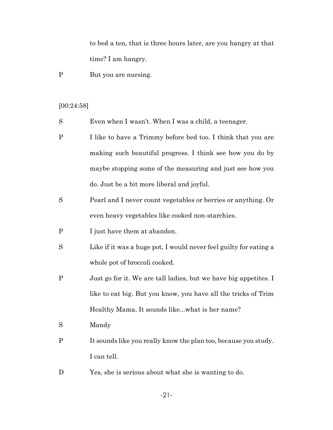to bed a ten, that is three hours later, are you hangry at that time? I am hangry.

P But you are nursing.

# [00:24:58]

- S Even when I wasn't. When I was a child, a teenager.
- P I like to have a Trimmy before bed too. I think that you are making such beautiful progress. I think see how you do by maybe stopping some of the measuring and just see how you do. Just be a bit more liberal and joyful.
- S Pearl and I never count vegetables or berries or anything. Or even heavy vegetables like cooked non-starchies.
- P I just have them at abandon.
- S Like if it was a huge pot, I would never feel guilty for eating a whole pot of broccoli cooked.
- P Just go for it. We are tall ladies, but we have big appetites. I like to eat big. But you know, you have all the tricks of Trim Healthy Mama. It sounds like...what is her name?
- S Mandy
- P It sounds like you really know the plan too, because you study. I can tell.
- D Yes, she is serious about what she is wanting to do.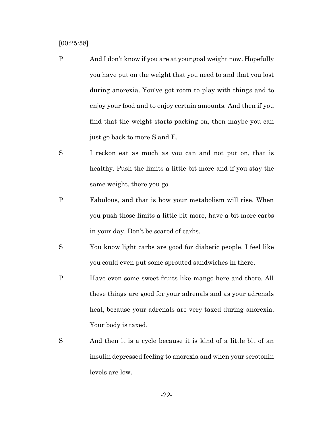[00:25:58]

- P And I don't know if you are at your goal weight now. Hopefully you have put on the weight that you need to and that you lost during anorexia. You've got room to play with things and to enjoy your food and to enjoy certain amounts. And then if you find that the weight starts packing on, then maybe you can just go back to more S and E.
- S I reckon eat as much as you can and not put on, that is healthy. Push the limits a little bit more and if you stay the same weight, there you go.
- P Fabulous, and that is how your metabolism will rise. When you push those limits a little bit more, have a bit more carbs in your day. Don't be scared of carbs.
- S You know light carbs are good for diabetic people. I feel like you could even put some sprouted sandwiches in there.
- P Have even some sweet fruits like mango here and there. All these things are good for your adrenals and as your adrenals heal, because your adrenals are very taxed during anorexia. Your body is taxed.
- S And then it is a cycle because it is kind of a little bit of an insulin depressed feeling to anorexia and when your serotonin levels are low.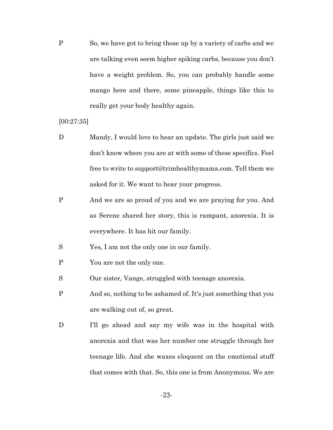P So, we have got to bring those up by a variety of carbs and we are talking even seem higher spiking carbs, because you don't have a weight problem. So, you can probably handle some mango here and there, some pineapple, things like this to really get your body healthy again.

[00:27:35]

- D Mandy, I would love to hear an update. The girls just said we don't know where you are at with some of these specifics. Feel free to write to support@trimhealthymama.com. Tell them we asked for it. We want to hear your progress.
- P And we are so proud of you and we are praying for you. And as Serene shared her story, this is rampant, anorexia. It is everywhere. It has hit our family.
- S Yes, I am not the only one in our family.
- P You are not the only one.
- S Our sister, Vange, struggled with teenage anorexia.
- P And so, nothing to be ashamed of. It's just something that you are walking out of, so great.
- D I'll go ahead and say my wife was in the hospital with anorexia and that was her number one struggle through her teenage life. And she waxes eloquent on the emotional stuff that comes with that. So, this one is from Anonymous. We are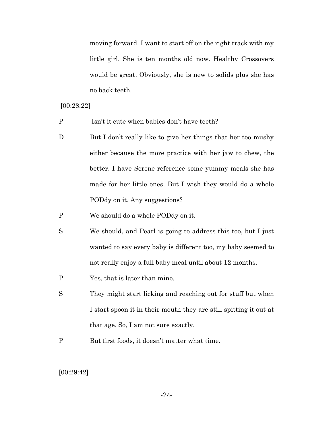moving forward. I want to start off on the right track with my little girl. She is ten months old now. Healthy Crossovers would be great. Obviously, she is new to solids plus she has no back teeth.

#### [00:28:22]

- P Isn't it cute when babies don't have teeth?
- D But I don't really like to give her things that her too mushy either because the more practice with her jaw to chew, the better. I have Serene reference some yummy meals she has made for her little ones. But I wish they would do a whole PODdy on it. Any suggestions?
- P We should do a whole PODdy on it.
- S We should, and Pearl is going to address this too, but I just wanted to say every baby is different too, my baby seemed to not really enjoy a full baby meal until about 12 months.
- P Yes, that is later than mine.
- S They might start licking and reaching out for stuff but when I start spoon it in their mouth they are still spitting it out at that age. So, I am not sure exactly.
- P But first foods, it doesn't matter what time.

#### [00:29:42]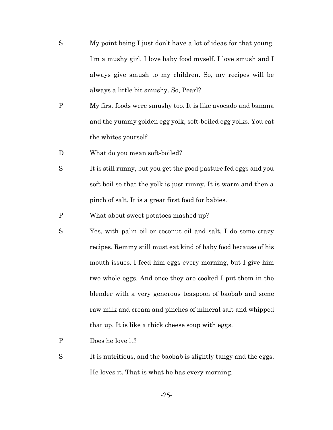- S My point being I just don't have a lot of ideas for that young. I'm a mushy girl. I love baby food myself. I love smush and I always give smush to my children. So, my recipes will be always a little bit smushy. So, Pearl?
- P My first foods were smushy too. It is like avocado and banana and the yummy golden egg yolk, soft-boiled egg yolks. You eat the whites yourself.
- D What do you mean soft-boiled?
- S It is still runny, but you get the good pasture fed eggs and you soft boil so that the yolk is just runny. It is warm and then a pinch of salt. It is a great first food for babies.
- P What about sweet potatoes mashed up?
- S Yes, with palm oil or coconut oil and salt. I do some crazy recipes. Remmy still must eat kind of baby food because of his mouth issues. I feed him eggs every morning, but I give him two whole eggs. And once they are cooked I put them in the blender with a very generous teaspoon of baobab and some raw milk and cream and pinches of mineral salt and whipped that up. It is like a thick cheese soup with eggs.
- P Does he love it?
- S It is nutritious, and the baobab is slightly tangy and the eggs. He loves it. That is what he has every morning.

-25-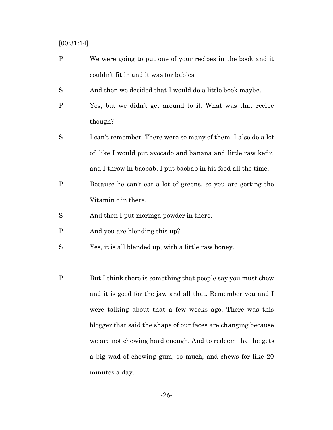## [00:31:14]

- P We were going to put one of your recipes in the book and it couldn't fit in and it was for babies.
- S And then we decided that I would do a little book maybe.
- P Yes, but we didn't get around to it. What was that recipe though?
- S I can't remember. There were so many of them. I also do a lot of, like I would put avocado and banana and little raw kefir, and I throw in baobab. I put baobab in his food all the time.
- P Because he can't eat a lot of greens, so you are getting the Vitamin c in there.
- S And then I put moringa powder in there.
- P And you are blending this up?
- S Yes, it is all blended up, with a little raw honey.
- P But I think there is something that people say you must chew and it is good for the jaw and all that. Remember you and I were talking about that a few weeks ago. There was this blogger that said the shape of our faces are changing because we are not chewing hard enough. And to redeem that he gets a big wad of chewing gum, so much, and chews for like 20 minutes a day.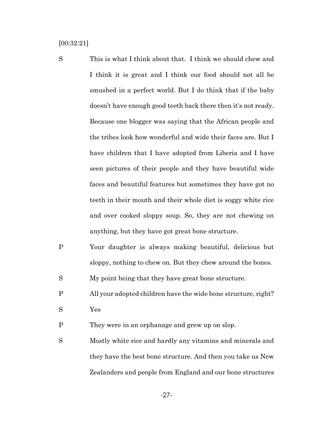[00:32:21]

- S This is what I think about that. I think we should chew and I think it is great and I think our food should not all be smushed in a perfect world. But I do think that if the baby doesn't have enough good teeth back there then it's not ready. Because one blogger was saying that the African people and the tribes look how wonderful and wide their faces are. But I have children that I have adopted from Liberia and I have seen pictures of their people and they have beautiful wide faces and beautiful features but sometimes they have got no teeth in their mouth and their whole diet is soggy white rice and over cooked sloppy soup. So, they are not chewing on anything, but they have got great bone structure.
- P Your daughter is always making beautiful, delicious but sloppy, nothing to chew on. But they chew around the bones.

S My point being that they have great bone structure.

P All your adopted children have the wide bone structure, right? S Yes

P They were in an orphanage and grew up on slop.

S Mostly white rice and hardly any vitamins and minerals and they have the best bone structure. And then you take us New Zealanders and people from England and our bone structures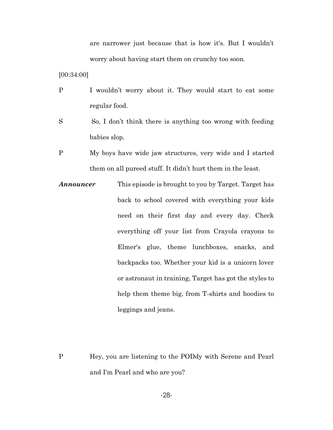are narrower just because that is how it's. But I wouldn't worry about having start them on crunchy too soon.

[00:34:00]

- P I wouldn't worry about it. They would start to eat some regular food.
- S So, I don't think there is anything too wrong with feeding babies slop.
- P My boys have wide jaw structures, very wide and I started them on all pureed stuff. It didn't hurt them in the least.
- *Announcer* This episode is brought to you by Target. Target has back to school covered with everything your kids need on their first day and every day. Check everything off your list from Crayola crayons to Elmer's glue, theme lunchboxes, snacks, and backpacks too. Whether your kid is a unicorn lover or astronaut in training, Target has got the styles to help them theme big, from T-shirts and hoodies to leggings and jeans.
- P Hey, you are listening to the PODdy with Serene and Pearl and I'm Pearl and who are you?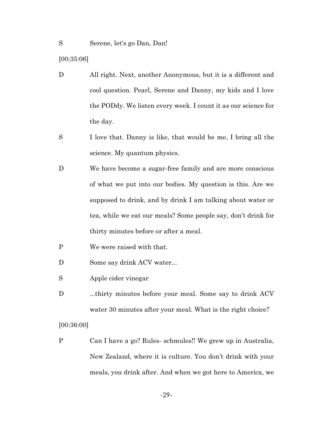[00:35:06]

- D All right. Next, another Anonymous, but it is a different and cool question. Pearl, Serene and Danny, my kids and I love the PODdy. We listen every week. I count it as our science for the day.
- S I love that. Danny is like, that would be me, I bring all the science. My quantum physics.
- D We have become a sugar-free family and are more conscious of what we put into our bodies. My question is this. Are we supposed to drink, and by drink I am talking about water or tea, while we eat our meals? Some people say, don't drink for thirty minutes before or after a meal.
- P We were raised with that.
- D Some say drink ACV water...
- S Apple cider vinegar
- D ...thirty minutes before your meal. Some say to drink ACV water 30 minutes after your meal. What is the right choice?

[00:36:00]

P Can I have a go? Rules- schmules!! We grew up in Australia, New Zealand, where it is culture. You don't drink with your meals, you drink after. And when we got here to America, we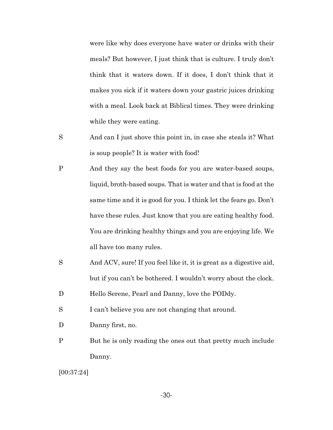were like why does everyone have water or drinks with their meals? But however, I just think that is culture. I truly don't think that it waters down. If it does, I don't think that it makes you sick if it waters down your gastric juices drinking with a meal. Look back at Biblical times. They were drinking while they were eating.

- S And can I just shove this point in, in case she steals it? What is soup people? It is water with food!
- P And they say the best foods for you are water-based soups, liquid, broth-based soups. That is water and that is food at the same time and it is good for you. I think let the fears go. Don't have these rules. Just know that you are eating healthy food. You are drinking healthy things and you are enjoying life. We all have too many rules.
- S And ACV, sure! If you feel like it, it is great as a digestive aid, but if you can't be bothered. I wouldn't worry about the clock.
- D Hello Serene, Pearl and Danny, love the PODdy.
- S I can't believe you are not changing that around.
- D Danny first, no.
- P But he is only reading the ones out that pretty much include Danny.

[00:37:24]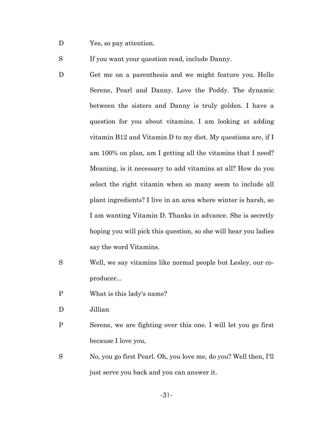D Yes, so pay attention.

S If you want your question read, include Danny.

- D Get me on a parenthesis and we might feature you. Hello Serene, Pearl and Danny. Love the Poddy. The dynamic between the sisters and Danny is truly golden. I have a question for you about vitamins. I am looking at adding vitamin B12 and Vitamin D to my diet. My questions are, if I am 100% on plan, am I getting all the vitamins that I need? Meaning, is it necessary to add vitamins at all? How do you select the right vitamin when so many seem to include all plant ingredients? I live in an area where winter is harsh, so I am wanting Vitamin D. Thanks in advance. She is secretly hoping you will pick this question, so she will hear you ladies say the word Vitamins.
- S Well, we say vitamins like normal people but Lesley, our coproducer...
- P What is this lady's name?
- D Jillian
- P Serene, we are fighting over this one. I will let you go first because I love you,
- S No, you go first Pearl. Oh, you love me, do you? Well then, I'll just serve you back and you can answer it.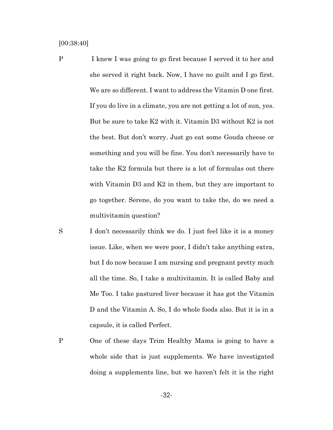[00:38:40]

- P I knew I was going to go first because I served it to her and she served it right back. Now, I have no guilt and I go first. We are so different. I want to address the Vitamin D one first. If you do live in a climate, you are not getting a lot of sun, yes. But be sure to take K2 with it. Vitamin D3 without K2 is not the best. But don't worry. Just go eat some Gouda cheese or something and you will be fine. You don't necessarily have to take the K2 formula but there is a lot of formulas out there with Vitamin D3 and K2 in them, but they are important to go together. Serene, do you want to take the, do we need a multivitamin question?
- S I don't necessarily think we do. I just feel like it is a money issue. Like, when we were poor, I didn't take anything extra, but I do now because I am nursing and pregnant pretty much all the time. So, I take a multivitamin. It is called Baby and Me Too. I take pastured liver because it has got the Vitamin D and the Vitamin A. So, I do whole foods also. But it is in a capsule, it is called Perfect.
- P One of these days Trim Healthy Mama is going to have a whole side that is just supplements. We have investigated doing a supplements line, but we haven't felt it is the right

-32-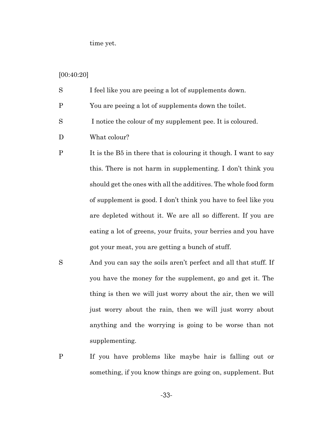time yet.

# [00:40:20]

| S | I feel like you are peeing a lot of supplements down. |
|---|-------------------------------------------------------|
| P | You are peeing a lot of supplements down the toilet.  |

- S I notice the colour of my supplement pee. It is coloured.
- D What colour?
- P It is the B5 in there that is colouring it though. I want to say this. There is not harm in supplementing. I don't think you should get the ones with all the additives. The whole food form of supplement is good. I don't think you have to feel like you are depleted without it. We are all so different. If you are eating a lot of greens, your fruits, your berries and you have got your meat, you are getting a bunch of stuff.
- S And you can say the soils aren't perfect and all that stuff. If you have the money for the supplement, go and get it. The thing is then we will just worry about the air, then we will just worry about the rain, then we will just worry about anything and the worrying is going to be worse than not supplementing.
- P If you have problems like maybe hair is falling out or something, if you know things are going on, supplement. But

-33-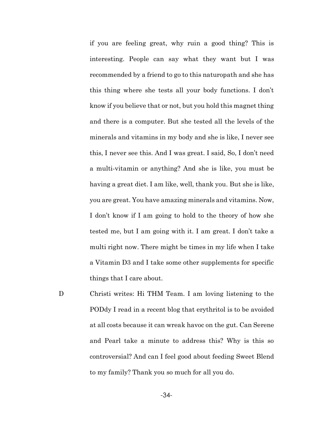if you are feeling great, why ruin a good thing? This is interesting. People can say what they want but I was recommended by a friend to go to this naturopath and she has this thing where she tests all your body functions. I don't know if you believe that or not, but you hold this magnet thing and there is a computer. But she tested all the levels of the minerals and vitamins in my body and she is like, I never see this, I never see this. And I was great. I said, So, I don't need a multi-vitamin or anything? And she is like, you must be having a great diet. I am like, well, thank you. But she is like, you are great. You have amazing minerals and vitamins. Now, I don't know if I am going to hold to the theory of how she tested me, but I am going with it. I am great. I don't take a multi right now. There might be times in my life when I take a Vitamin D3 and I take some other supplements for specific things that I care about.

D Christi writes: Hi THM Team. I am loving listening to the PODdy I read in a recent blog that erythritol is to be avoided at all costs because it can wreak havoc on the gut. Can Serene and Pearl take a minute to address this? Why is this so controversial? And can I feel good about feeding Sweet Blend to my family? Thank you so much for all you do.

-34-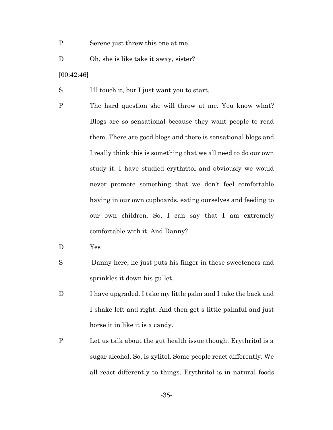- P Serene just threw this one at me.
- D Oh, she is like take it away, sister?
- [00:42:46]
- S I'll touch it, but I just want you to start.
- P The hard question she will throw at me. You know what? Blogs are so sensational because they want people to read them. There are good blogs and there is sensational blogs and I really think this is something that we all need to do our own study it. I have studied erythritol and obviously we would never promote something that we don't feel comfortable having in our own cupboards, eating ourselves and feeding to our own children. So, I can say that I am extremely comfortable with it. And Danny?
- D Yes
- S Danny here, he just puts his finger in these sweeteners and sprinkles it down his gullet.
- D I have upgraded. I take my little palm and I take the back and I shake left and right. And then get s little palmful and just horse it in like it is a candy.
- P Let us talk about the gut health issue though. Erythritol is a sugar alcohol. So, is xylitol. Some people react differently. We all react differently to things. Erythritol is in natural foods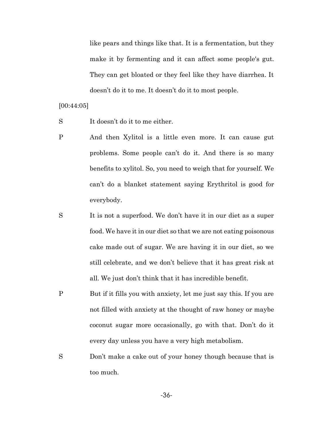like pears and things like that. It is a fermentation, but they make it by fermenting and it can affect some people's gut. They can get bloated or they feel like they have diarrhea. It doesn't do it to me. It doesn't do it to most people.

[00:44:05]

S It doesn't do it to me either.

- P And then Xylitol is a little even more. It can cause gut problems. Some people can't do it. And there is so many benefits to xylitol. So, you need to weigh that for yourself. We can't do a blanket statement saying Erythritol is good for everybody.
- S It is not a superfood. We don't have it in our diet as a super food. We have it in our diet so that we are not eating poisonous cake made out of sugar. We are having it in our diet, so we still celebrate, and we don't believe that it has great risk at all. We just don't think that it has incredible benefit.
- P But if it fills you with anxiety, let me just say this. If you are not filled with anxiety at the thought of raw honey or maybe coconut sugar more occasionally, go with that. Don't do it every day unless you have a very high metabolism.
- S Don't make a cake out of your honey though because that is too much.

-36-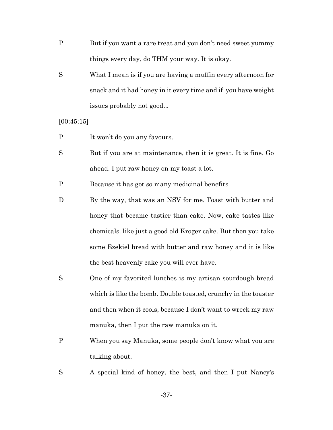- P But if you want a rare treat and you don't need sweet yummy things every day, do THM your way. It is okay.
- S What I mean is if you are having a muffin every afternoon for snack and it had honey in it every time and if you have weight issues probably not good...

[00:45:15]

- P It won't do you any favours.
- S But if you are at maintenance, then it is great. It is fine. Go ahead. I put raw honey on my toast a lot.

P Because it has got so many medicinal benefits

- D By the way, that was an NSV for me. Toast with butter and honey that became tastier than cake. Now, cake tastes like chemicals. like just a good old Kroger cake. But then you take some Ezekiel bread with butter and raw honey and it is like the best heavenly cake you will ever have.
- S One of my favorited lunches is my artisan sourdough bread which is like the bomb. Double toasted, crunchy in the toaster and then when it cools, because I don't want to wreck my raw manuka, then I put the raw manuka on it.
- P When you say Manuka, some people don't know what you are talking about.
- S A special kind of honey, the best, and then I put Nancy's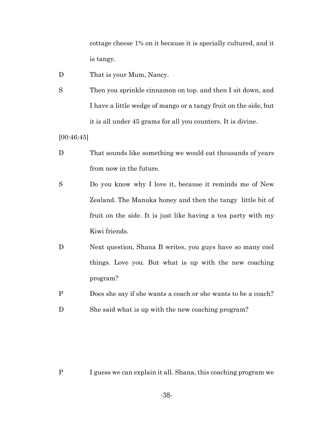cottage cheese 1% on it because it is specially cultured, and it is tangy.

- D That is your Mum, Nancy.
- S Then you sprinkle cinnamon on top. and then I sit down, and I have a little wedge of mango or a tangy fruit on the side, but it is all under 45 grams for all you counters. It is divine.

[00:46:45]

- D That sounds like something we would eat thousands of years from now in the future.
- S Do you know why I love it, because it reminds me of New Zealand. The Manuka honey and then the tangy little bit of fruit on the side. It is just like having a tea party with my Kiwi friends.
- D Next question, Shana B writes, you guys have so many cool things. Love you. But what is up with the new coaching program?
- P Does she say if she wants a coach or she wants to be a coach?
- D She said what is up with the new coaching program?

P I guess we can explain it all. Shana, this coaching program we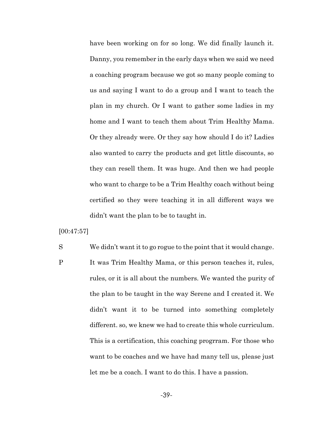have been working on for so long. We did finally launch it. Danny, you remember in the early days when we said we need a coaching program because we got so many people coming to us and saying I want to do a group and I want to teach the plan in my church. Or I want to gather some ladies in my home and I want to teach them about Trim Healthy Mama. Or they already were. Or they say how should I do it? Ladies also wanted to carry the products and get little discounts, so they can resell them. It was huge. And then we had people who want to charge to be a Trim Healthy coach without being certified so they were teaching it in all different ways we didn't want the plan to be to taught in.

[00:47:57]

- S We didn't want it to go rogue to the point that it would change.
- P It was Trim Healthy Mama, or this person teaches it, rules, rules, or it is all about the numbers. We wanted the purity of the plan to be taught in the way Serene and I created it. We didn't want it to be turned into something completely different. so, we knew we had to create this whole curriculum. This is a certification, this coaching progrram. For those who want to be coaches and we have had many tell us, please just let me be a coach. I want to do this. I have a passion.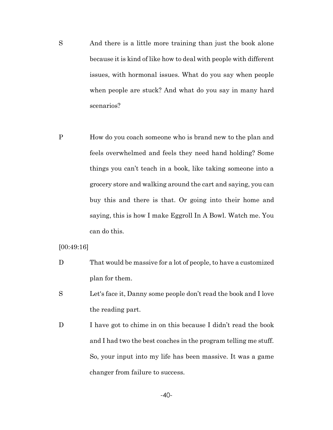- S And there is a little more training than just the book alone because it is kind of like how to deal with people with different issues, with hormonal issues. What do you say when people when people are stuck? And what do you say in many hard scenarios?
- P How do you coach someone who is brand new to the plan and feels overwhelmed and feels they need hand holding? Some things you can't teach in a book, like taking someone into a grocery store and walking around the cart and saying, you can buy this and there is that. Or going into their home and saying, this is how I make Eggroll In A Bowl. Watch me. You can do this.

[00:49:16]

- D That would be massive for a lot of people, to have a customized plan for them.
- S Let's face it, Danny some people don't read the book and I love the reading part.
- D I have got to chime in on this because I didn't read the book and I had two the best coaches in the program telling me stuff. So, your input into my life has been massive. It was a game changer from failure to success.

-40-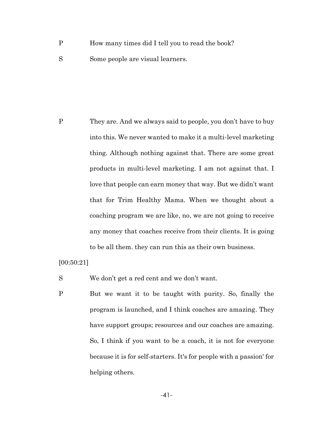- P How many times did I tell you to read the book?
- S Some people are visual learners.

P They are. And we always said to people, you don't have to buy into this. We never wanted to make it a multi-level marketing thing. Although nothing against that. There are some great products in multi-level marketing. I am not against that. I love that people can earn money that way. But we didn't want that for Trim Healthy Mama. When we thought about a coaching program we are like, no, we are not going to receive any money that coaches receive from their clients. It is going to be all them. they can run this as their own business.

[00:50:21]

S We don't get a red cent and we don't want.

P But we want it to be taught with purity. So, finally the program is launched, and I think coaches are amazing. They have support groups; resources and our coaches are amazing. So, I think if you want to be a coach, it is not for everyone because it is for self-starters. It's for people with a passion' for helping others.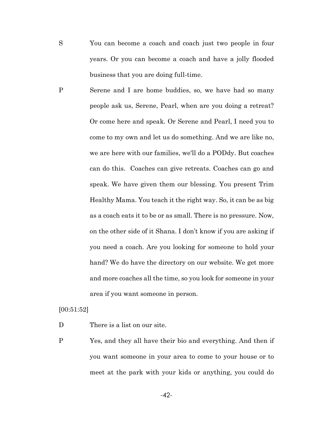- S You can become a coach and coach just two people in four years. Or you can become a coach and have a jolly flooded business that you are doing full-time.
- P Serene and I are home buddies, so, we have had so many people ask us, Serene, Pearl, when are you doing a retreat? Or come here and speak. Or Serene and Pearl, I need you to come to my own and let us do something. And we are like no, we are here with our families, we'll do a PODdy. But coaches can do this. Coaches can give retreats. Coaches can go and speak. We have given them our blessing. You present Trim Healthy Mama. You teach it the right way. So, it can be as big as a coach eats it to be or as small. There is no pressure. Now, on the other side of it Shana. I don't know if you are asking if you need a coach. Are you looking for someone to hold your hand? We do have the directory on our website. We get more and more coaches all the time, so you look for someone in your area if you want someone in person.

[00:51:52]

D There is a list on our site.

P Yes, and they all have their bio and everything. And then if you want someone in your area to come to your house or to meet at the park with your kids or anything, you could do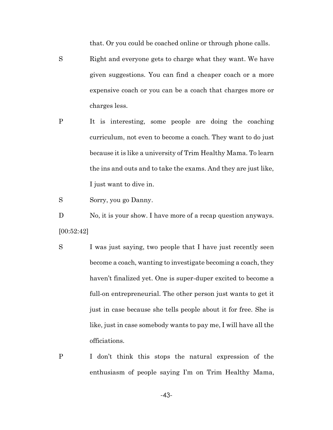that. Or you could be coached online or through phone calls.

- S Right and everyone gets to charge what they want. We have given suggestions. You can find a cheaper coach or a more expensive coach or you can be a coach that charges more or charges less.
- P It is interesting, some people are doing the coaching curriculum, not even to become a coach. They want to do just because it is like a university of Trim Healthy Mama. To learn the ins and outs and to take the exams. And they are just like, I just want to dive in.

S Sorry, you go Danny.

D No, it is your show. I have more of a recap question anyways. [00:52:42]

- S I was just saying, two people that I have just recently seen become a coach, wanting to investigate becoming a coach, they haven't finalized yet. One is super-duper excited to become a full-on entrepreneurial. The other person just wants to get it just in case because she tells people about it for free. She is like, just in case somebody wants to pay me, I will have all the officiations.
- P I don't think this stops the natural expression of the enthusiasm of people saying I'm on Trim Healthy Mama,

-43-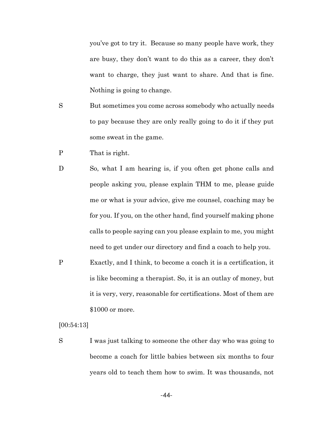you've got to try it. Because so many people have work, they are busy, they don't want to do this as a career, they don't want to charge, they just want to share. And that is fine. Nothing is going to change.

- S But sometimes you come across somebody who actually needs to pay because they are only really going to do it if they put some sweat in the game.
- P That is right.
- D So, what I am hearing is, if you often get phone calls and people asking you, please explain THM to me, please guide me or what is your advice, give me counsel, coaching may be for you. If you, on the other hand, find yourself making phone calls to people saying can you please explain to me, you might need to get under our directory and find a coach to help you.
- P Exactly, and I think, to become a coach it is a certification, it is like becoming a therapist. So, it is an outlay of money, but it is very, very, reasonable for certifications. Most of them are \$1000 or more.

[00:54:13]

S I was just talking to someone the other day who was going to become a coach for little babies between six months to four years old to teach them how to swim. It was thousands, not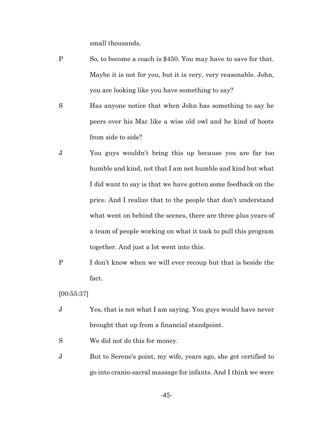small thousands.

- P So, to become a coach is \$450. You may have to save for that. Maybe it is not for you, but it is very, very reasonable. John, you are looking like you have something to say?
- S Has anyone notice that when John has something to say he peers over his Mac like a wise old owl and he kind of hoots from side to side?
- J You guys wouldn't bring this up because you are far too humble and kind, not that I am not humble and kind but what I did want to say is that we have gotten some feedback on the price. And I realize that to the people that don't understand what went on behind the scenes, there are three plus years of a team of people working on what it took to pull this program together. And just a lot went into this.
- P I don't know when we will ever recoup but that is beside the fact.

[00:55:37]

- J Yes, that is not what I am saying. You guys would have never brought that up from a financial standpoint.
- S We did not do this for money.
- J But to Serene's point, my wife, years ago, she got certified to go into cranio-sacral massage for infants. And I think we were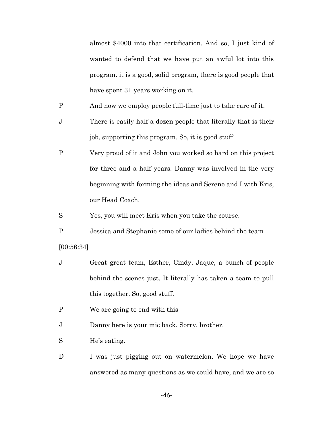almost \$4000 into that certification. And so, I just kind of wanted to defend that we have put an awful lot into this program. it is a good, solid program, there is good people that have spent 3+ years working on it.

- P And now we employ people full-time just to take care of it.
- J There is easily half a dozen people that literally that is their job, supporting this program. So, it is good stuff.
- P Very proud of it and John you worked so hard on this project for three and a half years. Danny was involved in the very beginning with forming the ideas and Serene and I with Kris, our Head Coach.

S Yes, you will meet Kris when you take the course.

P Jessica and Stephanie some of our ladies behind the team [00:56:34]

- J Great great team, Esther, Cindy, Jaque, a bunch of people behind the scenes just. It literally has taken a team to pull this together. So, good stuff.
- P We are going to end with this

J Danny here is your mic back. Sorry, brother.

S He's eating.

D I was just pigging out on watermelon. We hope we have answered as many questions as we could have, and we are so

-46-